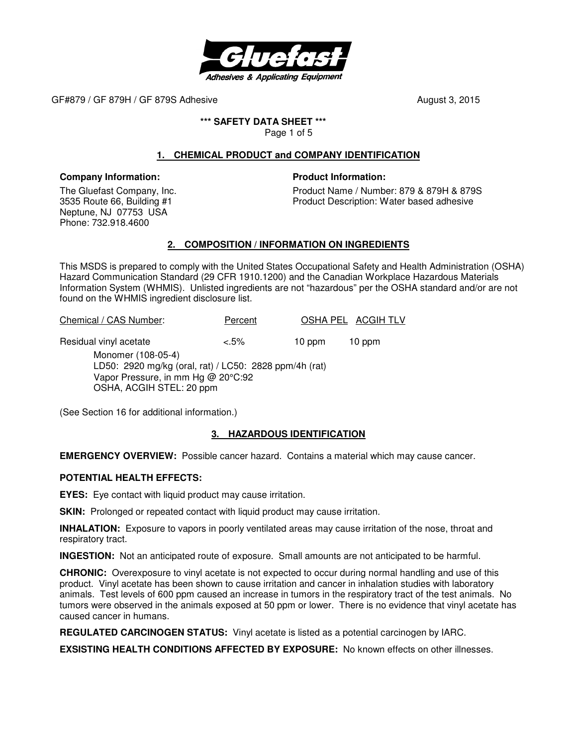

#### **\*\*\* SAFETY DATA SHEET \*\*\***

Page 1 of 5

# **1. CHEMICAL PRODUCT and COMPANY IDENTIFICATION**

#### **Company Information:**

The Gluefast Company, Inc. 3535 Route 66, Building #1 Neptune, NJ 07753 USA Phone: 732.918.4600

#### **Product Information:**

Product Name / Number: 879 & 879H & 879S Product Description: Water based adhesive

### **2. COMPOSITION / INFORMATION ON INGREDIENTS**

This MSDS is prepared to comply with the United States Occupational Safety and Health Administration (OSHA) Hazard Communication Standard (29 CFR 1910.1200) and the Canadian Workplace Hazardous Materials Information System (WHMIS). Unlisted ingredients are not "hazardous" per the OSHA standard and/or are not found on the WHMIS ingredient disclosure list.

| Chemical / CAS Number:                                                                                                                         | Percent |        | OSHA PEL ACGIH TLV |
|------------------------------------------------------------------------------------------------------------------------------------------------|---------|--------|--------------------|
| Residual vinyl acetate                                                                                                                         | $3.5\%$ | 10 ppm | 10 ppm             |
| Monomer (108-05-4)<br>LD50: 2920 mg/kg (oral, rat) / LC50: 2828 ppm/4h (rat)<br>Vapor Pressure, in mm Hg @ 20°C:92<br>OSHA, ACGIH STEL: 20 ppm |         |        |                    |

(See Section 16 for additional information.)

### **3. HAZARDOUS IDENTIFICATION**

**EMERGENCY OVERVIEW:** Possible cancer hazard. Contains a material which may cause cancer.

#### **POTENTIAL HEALTH EFFECTS:**

**EYES:** Eye contact with liquid product may cause irritation.

**SKIN:** Prolonged or repeated contact with liquid product may cause irritation.

**INHALATION:** Exposure to vapors in poorly ventilated areas may cause irritation of the nose, throat and respiratory tract.

**INGESTION:** Not an anticipated route of exposure. Small amounts are not anticipated to be harmful.

**CHRONIC:** Overexposure to vinyl acetate is not expected to occur during normal handling and use of this product. Vinyl acetate has been shown to cause irritation and cancer in inhalation studies with laboratory animals. Test levels of 600 ppm caused an increase in tumors in the respiratory tract of the test animals. No tumors were observed in the animals exposed at 50 ppm or lower. There is no evidence that vinyl acetate has caused cancer in humans.

**REGULATED CARCINOGEN STATUS:** Vinyl acetate is listed as a potential carcinogen by IARC.

**EXSISTING HEALTH CONDITIONS AFFECTED BY EXPOSURE:** No known effects on other illnesses.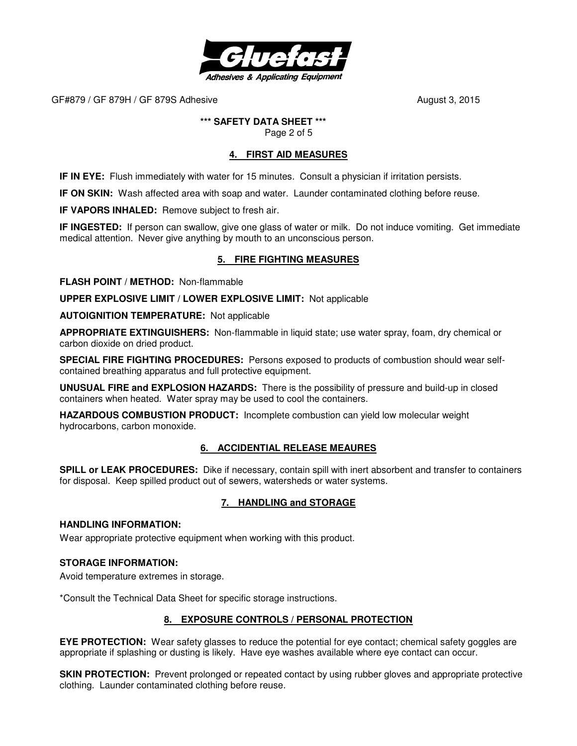

# **\*\*\* SAFETY DATA SHEET \*\*\***

Page 2 of 5

# **4. FIRST AID MEASURES**

**IF IN EYE:** Flush immediately with water for 15 minutes. Consult a physician if irritation persists.

**IF ON SKIN:** Wash affected area with soap and water. Launder contaminated clothing before reuse.

**IF VAPORS INHALED:** Remove subject to fresh air.

**IF INGESTED:** If person can swallow, give one glass of water or milk. Do not induce vomiting. Get immediate medical attention. Never give anything by mouth to an unconscious person.

# **5. FIRE FIGHTING MEASURES**

**FLASH POINT / METHOD:** Non-flammable

**UPPER EXPLOSIVE LIMIT / LOWER EXPLOSIVE LIMIT:** Not applicable

**AUTOIGNITION TEMPERATURE:** Not applicable

**APPROPRIATE EXTINGUISHERS:** Non-flammable in liquid state; use water spray, foam, dry chemical or carbon dioxide on dried product.

**SPECIAL FIRE FIGHTING PROCEDURES:** Persons exposed to products of combustion should wear selfcontained breathing apparatus and full protective equipment.

**UNUSUAL FIRE and EXPLOSION HAZARDS:** There is the possibility of pressure and build-up in closed containers when heated. Water spray may be used to cool the containers.

**HAZARDOUS COMBUSTION PRODUCT:** Incomplete combustion can yield low molecular weight hydrocarbons, carbon monoxide.

### **6. ACCIDENTIAL RELEASE MEAURES**

**SPILL or LEAK PROCEDURES:** Dike if necessary, contain spill with inert absorbent and transfer to containers for disposal. Keep spilled product out of sewers, watersheds or water systems.

# **7. HANDLING and STORAGE**

#### **HANDLING INFORMATION:**

Wear appropriate protective equipment when working with this product.

### **STORAGE INFORMATION:**

Avoid temperature extremes in storage.

\*Consult the Technical Data Sheet for specific storage instructions.

### **8. EXPOSURE CONTROLS / PERSONAL PROTECTION**

**EYE PROTECTION:** Wear safety glasses to reduce the potential for eye contact; chemical safety goggles are appropriate if splashing or dusting is likely. Have eye washes available where eye contact can occur.

**SKIN PROTECTION:** Prevent prolonged or repeated contact by using rubber gloves and appropriate protective clothing. Launder contaminated clothing before reuse.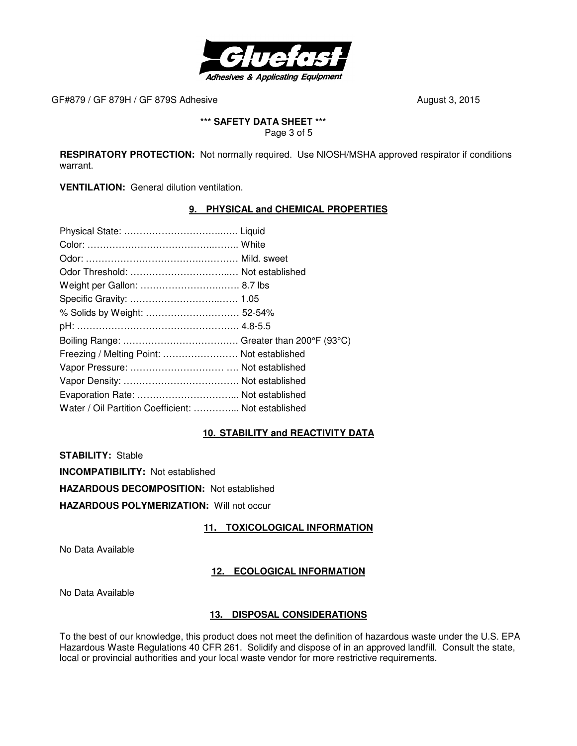

# **\*\*\* SAFETY DATA SHEET \*\*\***

Page 3 of 5

**RESPIRATORY PROTECTION:** Not normally required. Use NIOSH/MSHA approved respirator if conditions warrant.

**VENTILATION:** General dilution ventilation.

# **9. PHYSICAL and CHEMICAL PROPERTIES**

| % Solids by Weight:  52-54%<br>Freezing / Melting Point:  Not established<br>Water / Oil Partition Coefficient:  Not established |  |
|----------------------------------------------------------------------------------------------------------------------------------|--|
|                                                                                                                                  |  |
|                                                                                                                                  |  |
|                                                                                                                                  |  |
|                                                                                                                                  |  |
|                                                                                                                                  |  |
|                                                                                                                                  |  |
|                                                                                                                                  |  |
|                                                                                                                                  |  |
|                                                                                                                                  |  |
|                                                                                                                                  |  |
|                                                                                                                                  |  |
|                                                                                                                                  |  |
|                                                                                                                                  |  |

### **10. STABILITY and REACTIVITY DATA**

**STABILITY:** Stable

**INCOMPATIBILITY:** Not established

**HAZARDOUS DECOMPOSITION:** Not established

**HAZARDOUS POLYMERIZATION:** Will not occur

**11. TOXICOLOGICAL INFORMATION**

No Data Available

### **12. ECOLOGICAL INFORMATION**

No Data Available

### **13. DISPOSAL CONSIDERATIONS**

To the best of our knowledge, this product does not meet the definition of hazardous waste under the U.S. EPA Hazardous Waste Regulations 40 CFR 261. Solidify and dispose of in an approved landfill. Consult the state, local or provincial authorities and your local waste vendor for more restrictive requirements.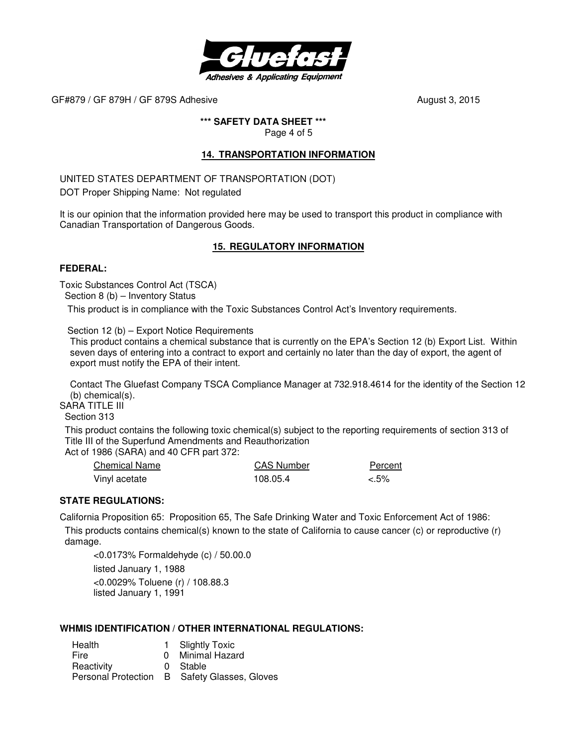

### **\*\*\* SAFETY DATA SHEET \*\*\***

Page 4 of 5

### **14. TRANSPORTATION INFORMATION**

UNITED STATES DEPARTMENT OF TRANSPORTATION (DOT)

DOT Proper Shipping Name: Not regulated

It is our opinion that the information provided here may be used to transport this product in compliance with Canadian Transportation of Dangerous Goods.

# **15. REGULATORY INFORMATION**

#### **FEDERAL:**

Toxic Substances Control Act (TSCA)

Section 8 (b) – Inventory Status

This product is in compliance with the Toxic Substances Control Act's Inventory requirements.

Section 12 (b) – Export Notice Requirements

 This product contains a chemical substance that is currently on the EPA's Section 12 (b) Export List. Within seven days of entering into a contract to export and certainly no later than the day of export, the agent of export must notify the EPA of their intent.

 Contact The Gluefast Company TSCA Compliance Manager at 732.918.4614 for the identity of the Section 12 (b) chemical(s).

SARA TITLE III

Section 313

 This product contains the following toxic chemical(s) subject to the reporting requirements of section 313 of Title III of the Superfund Amendments and Reauthorization

Act of 1986 (SARA) and 40 CFR part 372:

| Chemical Name | <b>CAS Number</b> | Percent |
|---------------|-------------------|---------|
| Vinyl acetate | 108.05.4          | $3.5\%$ |

### **STATE REGULATIONS:**

California Proposition 65: Proposition 65, The Safe Drinking Water and Toxic Enforcement Act of 1986:

 This products contains chemical(s) known to the state of California to cause cancer (c) or reproductive (r) damage.

<0.0173% Formaldehyde (c) / 50.00.0 listed January 1, 1988 <0.0029% Toluene (r) / 108.88.3 listed January 1, 1991

### **WHMIS IDENTIFICATION / OTHER INTERNATIONAL REGULATIONS:**

Health 1 Slightly Toxic Fire 0 Minimal Hazard Reactivity **0** Stable Personal Protection B Safety Glasses, Gloves